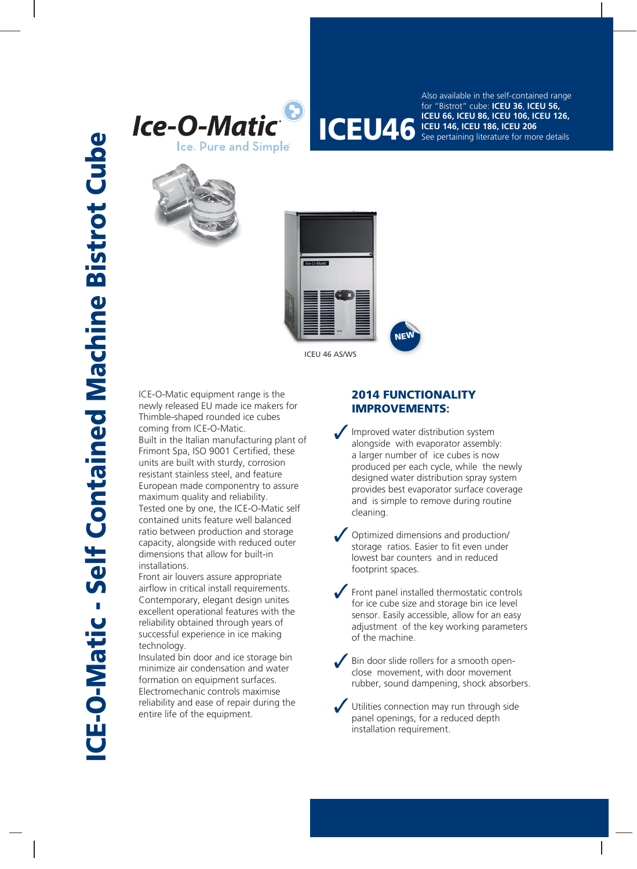



**ICEU 66, ICEU 86, ICEU 106, ICEU 126,**<br>**ICEU 46, ICEU 186, ICEU 206**<br>See pertaining literature for more details Also available in the self-contained range for "Bistrot" cube: **ICEU 36**, **ICEU 56, ICEU 146, ICEU 186, ICEU 206** See pertaining literature for more details





ICE-O-Matic equipment range is the newly released EU made ice makers for Thimble-shaped rounded ice cubes coming from ICE-O-Matic. Built in the Italian manufacturing plant of Frimont Spa, ISO 9001 Certified, these units are built with sturdy, corrosion resistant stainless steel, and feature European made componentry to assure maximum quality and reliability. Tested one by one, the ICE-O-Matic self contained units feature well balanced ratio between production and storage capacity, alongside with reduced outer dimensions that allow for built-in installations.

Front air louvers assure appropriate airflow in critical install requirements. Contemporary, elegant design unites excellent operational features with the reliability obtained through years of successful experience in ice making technology.

Insulated bin door and ice storage bin minimize air condensation and water formation on equipment surfaces. Electromechanic controls maximise reliability and ease of repair during the entire life of the equipment.

## **2014 FUNCTIONALITY IMPROVEMENTS:**

Improved water distribution system alongside with evaporator assembly: a larger number of ice cubes is now produced per each cycle, while the newly designed water distribution spray system provides best evaporator surface coverage and is simple to remove during routine cleaning.

Optimized dimensions and production/ storage ratios. Easier to fit even under lowest bar counters and in reduced footprint spaces.

Front panel installed thermostatic controls for ice cube size and storage bin ice level sensor. Easily accessible, allow for an easy adjustment of the key working parameters of the machine.

 $\sqrt{\frac{1}{100}}$  Bin door slide rollers for a smooth openclose movement, with door movement rubber, sound dampening, shock absorbers.

Utilities connection may run through side panel openings, for a reduced depth installation requirement.